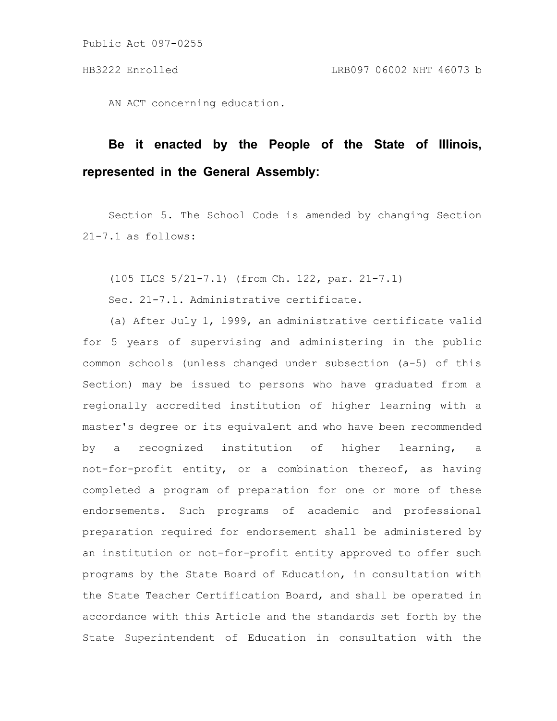Public Act 097-0255

AN ACT concerning education.

# **Be it enacted by the People of the State of Illinois, represented in the General Assembly:**

Section 5. The School Code is amended by changing Section 21-7.1 as follows:

(105 ILCS 5/21-7.1) (from Ch. 122, par. 21-7.1)

Sec. 21-7.1. Administrative certificate.

(a) After July 1, 1999, an administrative certificate valid for 5 years of supervising and administering in the public common schools (unless changed under subsection (a-5) of this Section) may be issued to persons who have graduated from a regionally accredited institution of higher learning with a master's degree or its equivalent and who have been recommended by a recognized institution of higher learning, a not-for-profit entity, or a combination thereof, as having completed a program of preparation for one or more of these endorsements. Such programs of academic and professional preparation required for endorsement shall be administered by an institution or not-for-profit entity approved to offer such programs by the State Board of Education, in consultation with the State Teacher Certification Board, and shall be operated in accordance with this Article and the standards set forth by the State Superintendent of Education in consultation with the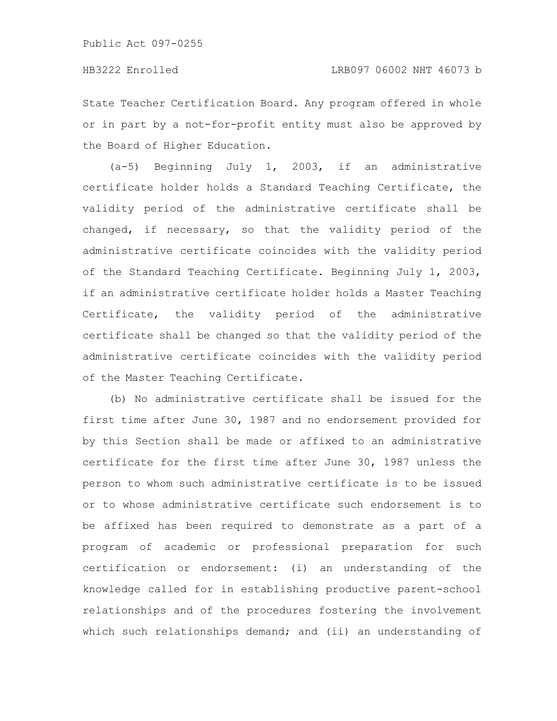State Teacher Certification Board. Any program offered in whole or in part by a not-for-profit entity must also be approved by the Board of Higher Education.

(a-5) Beginning July 1, 2003, if an administrative certificate holder holds a Standard Teaching Certificate, the validity period of the administrative certificate shall be changed, if necessary, so that the validity period of the administrative certificate coincides with the validity period of the Standard Teaching Certificate. Beginning July 1, 2003, if an administrative certificate holder holds a Master Teaching Certificate, the validity period of the administrative certificate shall be changed so that the validity period of the administrative certificate coincides with the validity period of the Master Teaching Certificate.

(b) No administrative certificate shall be issued for the first time after June 30, 1987 and no endorsement provided for by this Section shall be made or affixed to an administrative certificate for the first time after June 30, 1987 unless the person to whom such administrative certificate is to be issued or to whose administrative certificate such endorsement is to be affixed has been required to demonstrate as a part of a program of academic or professional preparation for such certification or endorsement: (i) an understanding of the knowledge called for in establishing productive parent-school relationships and of the procedures fostering the involvement which such relationships demand; and (ii) an understanding of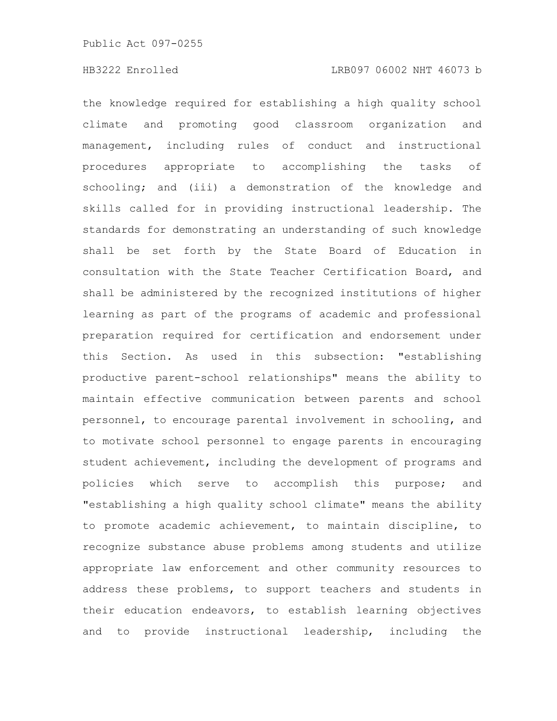the knowledge required for establishing a high quality school climate and promoting good classroom organization and management, including rules of conduct and instructional procedures appropriate to accomplishing the tasks of schooling; and (iii) a demonstration of the knowledge and skills called for in providing instructional leadership. The standards for demonstrating an understanding of such knowledge shall be set forth by the State Board of Education in consultation with the State Teacher Certification Board, and shall be administered by the recognized institutions of higher learning as part of the programs of academic and professional preparation required for certification and endorsement under this Section. As used in this subsection: "establishing productive parent-school relationships" means the ability to maintain effective communication between parents and school personnel, to encourage parental involvement in schooling, and to motivate school personnel to engage parents in encouraging student achievement, including the development of programs and policies which serve to accomplish this purpose; and "establishing a high quality school climate" means the ability to promote academic achievement, to maintain discipline, to recognize substance abuse problems among students and utilize appropriate law enforcement and other community resources to address these problems, to support teachers and students in their education endeavors, to establish learning objectives and to provide instructional leadership, including the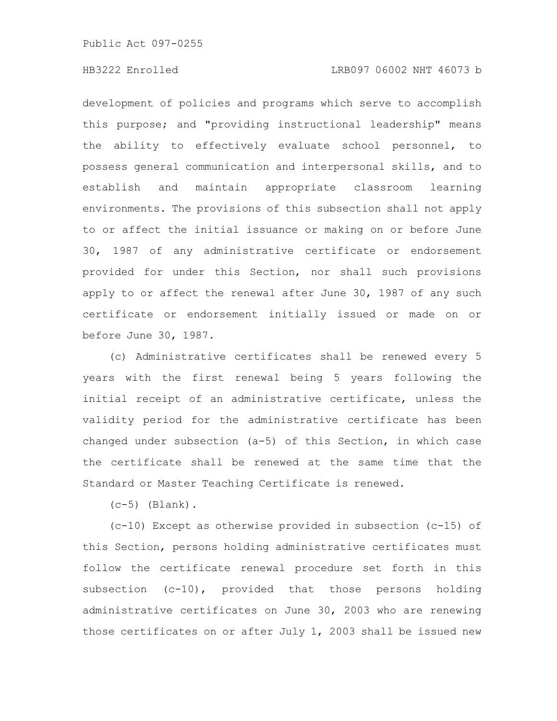Public Act 097-0255

### HB3222 Enrolled LRB097 06002 NHT 46073 b

development of policies and programs which serve to accomplish this purpose; and "providing instructional leadership" means the ability to effectively evaluate school personnel, to possess general communication and interpersonal skills, and to establish and maintain appropriate classroom learning environments. The provisions of this subsection shall not apply to or affect the initial issuance or making on or before June 30, 1987 of any administrative certificate or endorsement provided for under this Section, nor shall such provisions apply to or affect the renewal after June 30, 1987 of any such certificate or endorsement initially issued or made on or before June 30, 1987.

(c) Administrative certificates shall be renewed every 5 years with the first renewal being 5 years following the initial receipt of an administrative certificate, unless the validity period for the administrative certificate has been changed under subsection (a-5) of this Section, in which case the certificate shall be renewed at the same time that the Standard or Master Teaching Certificate is renewed.

 $(c-5)$  (Blank).

(c-10) Except as otherwise provided in subsection (c-15) of this Section, persons holding administrative certificates must follow the certificate renewal procedure set forth in this subsection (c-10), provided that those persons holding administrative certificates on June 30, 2003 who are renewing those certificates on or after July 1, 2003 shall be issued new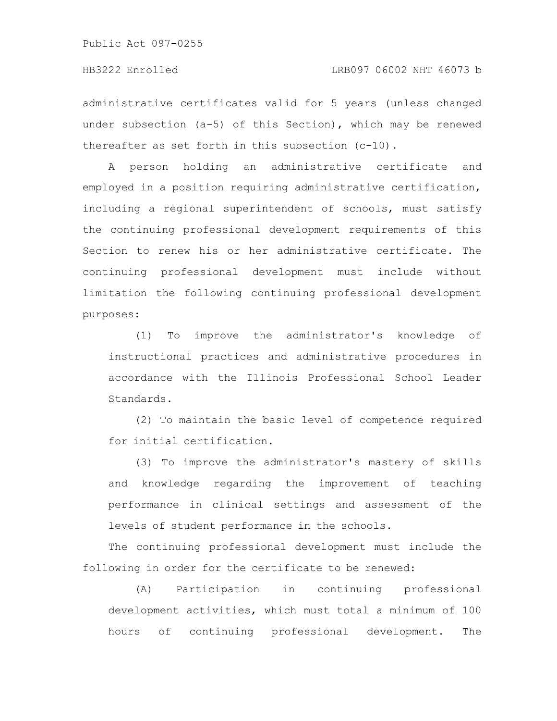administrative certificates valid for 5 years (unless changed under subsection (a-5) of this Section), which may be renewed thereafter as set forth in this subsection (c-10).

A person holding an administrative certificate and employed in a position requiring administrative certification, including a regional superintendent of schools, must satisfy the continuing professional development requirements of this Section to renew his or her administrative certificate. The continuing professional development must include without limitation the following continuing professional development purposes:

(1) To improve the administrator's knowledge of instructional practices and administrative procedures in accordance with the Illinois Professional School Leader Standards.

(2) To maintain the basic level of competence required for initial certification.

(3) To improve the administrator's mastery of skills and knowledge regarding the improvement of teaching performance in clinical settings and assessment of the levels of student performance in the schools.

The continuing professional development must include the following in order for the certificate to be renewed:

(A) Participation in continuing professional development activities, which must total a minimum of 100 hours of continuing professional development. The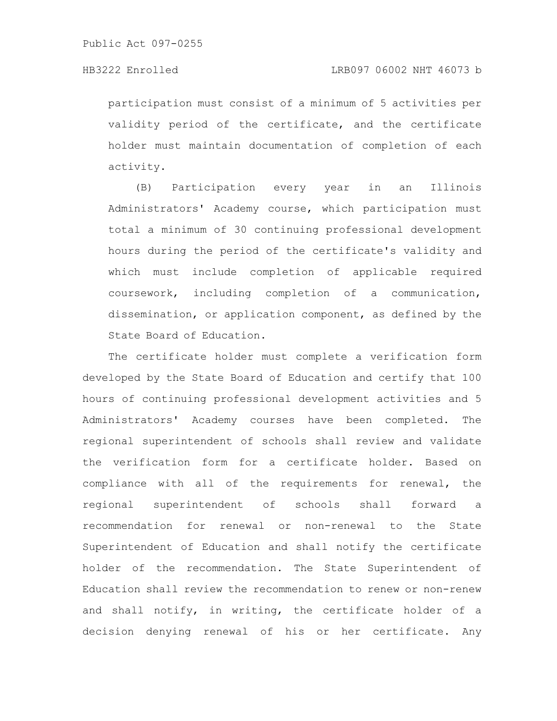participation must consist of a minimum of 5 activities per validity period of the certificate, and the certificate holder must maintain documentation of completion of each activity.

(B) Participation every year in an Illinois Administrators' Academy course, which participation must total a minimum of 30 continuing professional development hours during the period of the certificate's validity and which must include completion of applicable required coursework, including completion of a communication, dissemination, or application component, as defined by the State Board of Education.

The certificate holder must complete a verification form developed by the State Board of Education and certify that 100 hours of continuing professional development activities and 5 Administrators' Academy courses have been completed. The regional superintendent of schools shall review and validate the verification form for a certificate holder. Based on compliance with all of the requirements for renewal, the regional superintendent of schools shall forward a recommendation for renewal or non-renewal to the State Superintendent of Education and shall notify the certificate holder of the recommendation. The State Superintendent of Education shall review the recommendation to renew or non-renew and shall notify, in writing, the certificate holder of a decision denying renewal of his or her certificate. Any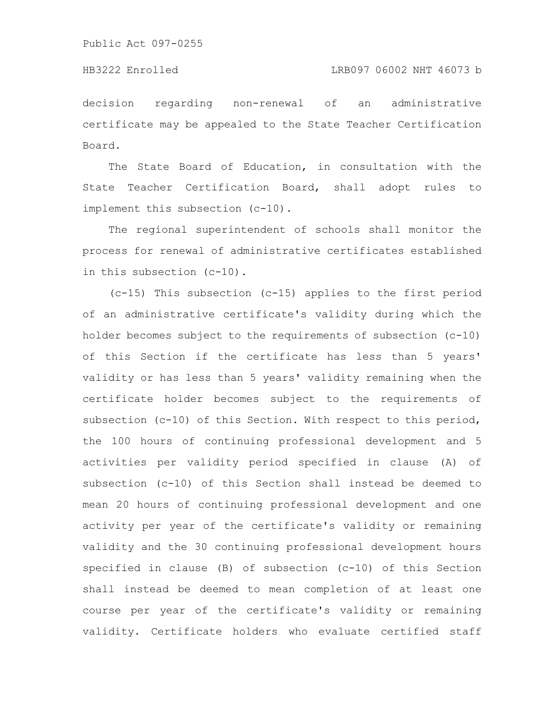decision regarding non-renewal of an administrative certificate may be appealed to the State Teacher Certification Board.

The State Board of Education, in consultation with the State Teacher Certification Board, shall adopt rules to implement this subsection (c-10).

The regional superintendent of schools shall monitor the process for renewal of administrative certificates established in this subsection (c-10).

(c-15) This subsection (c-15) applies to the first period of an administrative certificate's validity during which the holder becomes subject to the requirements of subsection (c-10) of this Section if the certificate has less than 5 years' validity or has less than 5 years' validity remaining when the certificate holder becomes subject to the requirements of subsection (c-10) of this Section. With respect to this period, the 100 hours of continuing professional development and 5 activities per validity period specified in clause (A) of subsection (c-10) of this Section shall instead be deemed to mean 20 hours of continuing professional development and one activity per year of the certificate's validity or remaining validity and the 30 continuing professional development hours specified in clause (B) of subsection (c-10) of this Section shall instead be deemed to mean completion of at least one course per year of the certificate's validity or remaining validity. Certificate holders who evaluate certified staff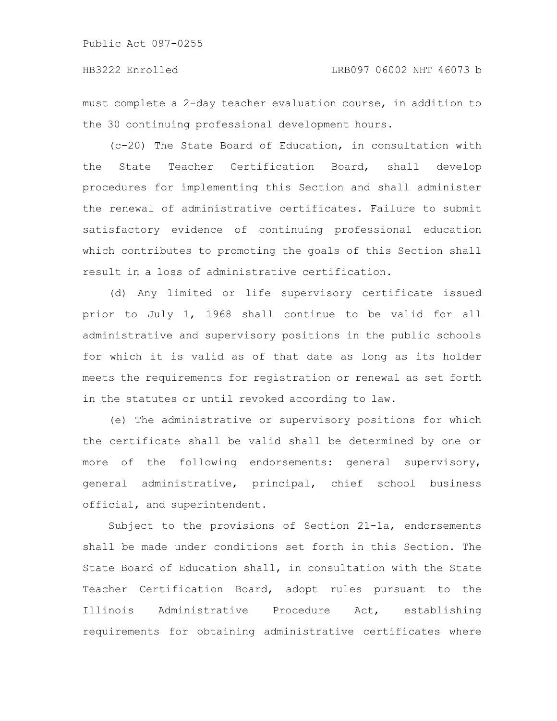must complete a 2-day teacher evaluation course, in addition to the 30 continuing professional development hours.

(c-20) The State Board of Education, in consultation with the State Teacher Certification Board, shall develop procedures for implementing this Section and shall administer the renewal of administrative certificates. Failure to submit satisfactory evidence of continuing professional education which contributes to promoting the goals of this Section shall result in a loss of administrative certification.

(d) Any limited or life supervisory certificate issued prior to July 1, 1968 shall continue to be valid for all administrative and supervisory positions in the public schools for which it is valid as of that date as long as its holder meets the requirements for registration or renewal as set forth in the statutes or until revoked according to law.

(e) The administrative or supervisory positions for which the certificate shall be valid shall be determined by one or more of the following endorsements: general supervisory, general administrative, principal, chief school business official, and superintendent.

Subject to the provisions of Section 21-1a, endorsements shall be made under conditions set forth in this Section. The State Board of Education shall, in consultation with the State Teacher Certification Board, adopt rules pursuant to the Illinois Administrative Procedure Act, establishing requirements for obtaining administrative certificates where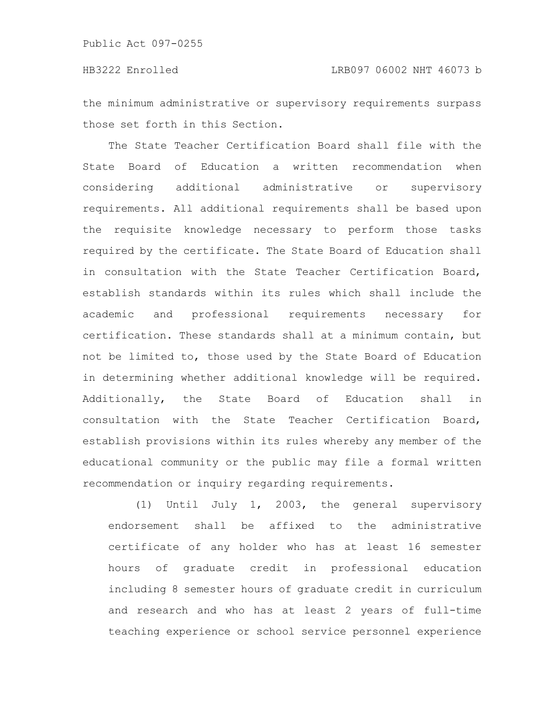the minimum administrative or supervisory requirements surpass those set forth in this Section.

The State Teacher Certification Board shall file with the State Board of Education a written recommendation when considering additional administrative or supervisory requirements. All additional requirements shall be based upon the requisite knowledge necessary to perform those tasks required by the certificate. The State Board of Education shall in consultation with the State Teacher Certification Board, establish standards within its rules which shall include the academic and professional requirements necessary for certification. These standards shall at a minimum contain, but not be limited to, those used by the State Board of Education in determining whether additional knowledge will be required. Additionally, the State Board of Education shall in consultation with the State Teacher Certification Board, establish provisions within its rules whereby any member of the educational community or the public may file a formal written recommendation or inquiry regarding requirements.

(1) Until July 1, 2003, the general supervisory endorsement shall be affixed to the administrative certificate of any holder who has at least 16 semester hours of graduate credit in professional education including 8 semester hours of graduate credit in curriculum and research and who has at least 2 years of full-time teaching experience or school service personnel experience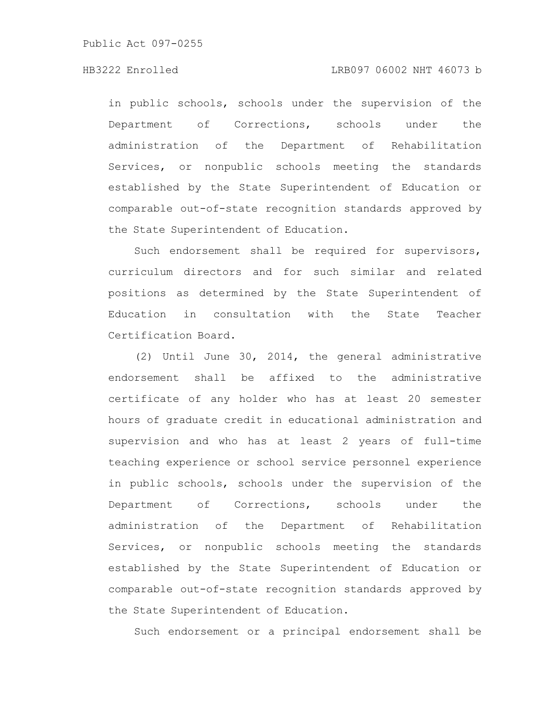in public schools, schools under the supervision of the Department of Corrections, schools under the administration of the Department of Rehabilitation Services, or nonpublic schools meeting the standards established by the State Superintendent of Education or comparable out-of-state recognition standards approved by the State Superintendent of Education.

Such endorsement shall be required for supervisors, curriculum directors and for such similar and related positions as determined by the State Superintendent of Education in consultation with the State Teacher Certification Board.

(2) Until June 30, 2014, the general administrative endorsement shall be affixed to the administrative certificate of any holder who has at least 20 semester hours of graduate credit in educational administration and supervision and who has at least 2 years of full-time teaching experience or school service personnel experience in public schools, schools under the supervision of the Department of Corrections, schools under the administration of the Department of Rehabilitation Services, or nonpublic schools meeting the standards established by the State Superintendent of Education or comparable out-of-state recognition standards approved by the State Superintendent of Education.

Such endorsement or a principal endorsement shall be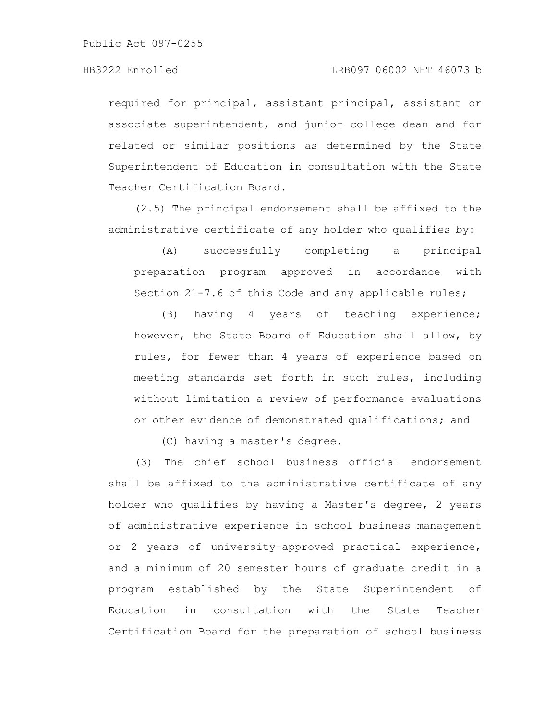Public Act 097-0255

required for principal, assistant principal, assistant or associate superintendent, and junior college dean and for related or similar positions as determined by the State Superintendent of Education in consultation with the State Teacher Certification Board.

(2.5) The principal endorsement shall be affixed to the administrative certificate of any holder who qualifies by:

(A) successfully completing a principal preparation program approved in accordance with Section 21-7.6 of this Code and any applicable rules;

(B) having 4 years of teaching experience; however, the State Board of Education shall allow, by rules, for fewer than 4 years of experience based on meeting standards set forth in such rules, including without limitation a review of performance evaluations or other evidence of demonstrated qualifications; and

(C) having a master's degree.

(3) The chief school business official endorsement shall be affixed to the administrative certificate of any holder who qualifies by having a Master's degree, 2 years of administrative experience in school business management or 2 years of university-approved practical experience, and a minimum of 20 semester hours of graduate credit in a program established by the State Superintendent of Education in consultation with the State Teacher Certification Board for the preparation of school business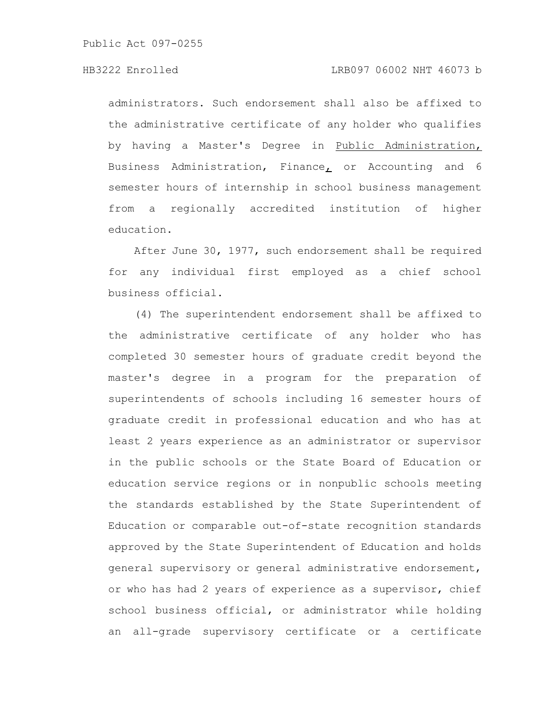administrators. Such endorsement shall also be affixed to the administrative certificate of any holder who qualifies by having a Master's Degree in Public Administration, Business Administration, Finance, or Accounting and 6 semester hours of internship in school business management from a regionally accredited institution of higher education.

After June 30, 1977, such endorsement shall be required for any individual first employed as a chief school business official.

(4) The superintendent endorsement shall be affixed to the administrative certificate of any holder who has completed 30 semester hours of graduate credit beyond the master's degree in a program for the preparation of superintendents of schools including 16 semester hours of graduate credit in professional education and who has at least 2 years experience as an administrator or supervisor in the public schools or the State Board of Education or education service regions or in nonpublic schools meeting the standards established by the State Superintendent of Education or comparable out-of-state recognition standards approved by the State Superintendent of Education and holds general supervisory or general administrative endorsement, or who has had 2 years of experience as a supervisor, chief school business official, or administrator while holding an all-grade supervisory certificate or a certificate